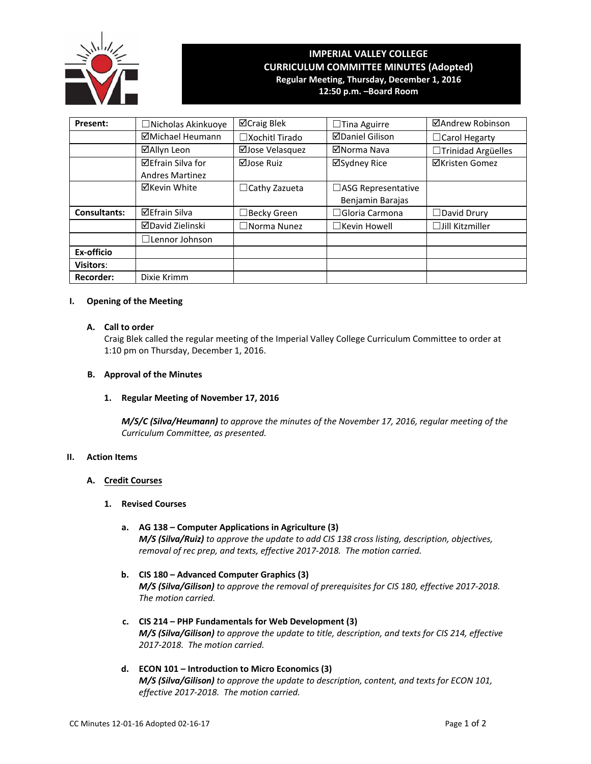

# **IMPERIAL VALLEY COLLEGE CURRICULUM COMMITTEE MINUTES (Adopted) Regular Meeting, Thursday, December 1, 2016**

**12:50 p.m. –Board Room**

| Present:            | $\Box$ Nicholas Akinkuoye                          | ⊠Craig Blek           | $\Box$ Tina Aguirre                           | ⊠Andrew Robinson       |
|---------------------|----------------------------------------------------|-----------------------|-----------------------------------------------|------------------------|
|                     | ⊠Michael Heumann                                   | $\Box$ Xochitl Tirado | <b>ØDaniel Gilison</b>                        | □ Carol Hegarty        |
|                     | ⊠Allyn Leon                                        | ⊠Jose Velasquez       | ⊠Norma Nava                                   | □Trinidad Argüelles    |
|                     | <b>⊠Efrain Silva for</b><br><b>Andres Martinez</b> | ⊠Jose Ruiz            | ⊠Sydney Rice                                  | ⊠Kristen Gomez         |
|                     | ⊠Kevin White                                       | $\Box$ Cathy Zazueta  | $\Box$ ASG Representative<br>Benjamin Barajas |                        |
| <b>Consultants:</b> | <b>⊠Efrain Silva</b>                               | □Becky Green          | $\Box$ Gloria Carmona                         | $\Box$ David Drury     |
|                     | <b>⊠David Zielinski</b>                            | $\Box$ Norma Nunez    | $\Box$ Kevin Howell                           | $\Box$ Jill Kitzmiller |
|                     | $\Box$ Lennor Johnson                              |                       |                                               |                        |
| Ex-officio          |                                                    |                       |                                               |                        |
| <b>Visitors:</b>    |                                                    |                       |                                               |                        |
| <b>Recorder:</b>    | Dixie Krimm                                        |                       |                                               |                        |

# **I. Opening of the Meeting**

# **A. Call to order**

Craig Blek called the regular meeting of the Imperial Valley College Curriculum Committee to order at 1:10 pm on Thursday, December 1, 2016.

# **B. Approval of the Minutes**

**1. Regular Meeting of November 17, 2016**

*M/S/C (Silva/Heumann) to approve the minutes of the November 17, 2016, regular meeting of the Curriculum Committee, as presented.*

# **II. Action Items**

# **A. Credit Courses**

# **1. Revised Courses**

- **a. AG 138 – Computer Applications in Agriculture (3)** *M/S (Silva/Ruiz) to approve the update to add CIS 138 cross listing, description, objectives, removal of rec prep, and texts, effective 2017‐2018. The motion carried.*
- **b. CIS 180 – Advanced Computer Graphics (3)** *M/S (Silva/Gilison) to approve the removal of prerequisites for CIS 180, effective 2017‐2018. The motion carried.*
- **c. CIS 214 – PHP Fundamentals for Web Development (3)** *M/S (Silva/Gilison) to approve the update to title, description, and texts for CIS 214, effective 2017‐2018. The motion carried.*
- **d. ECON 101 – Introduction to Micro Economics (3)** *M/S (Silva/Gilison) to approve the update to description, content, and texts for ECON 101, effective 2017‐2018. The motion carried.*